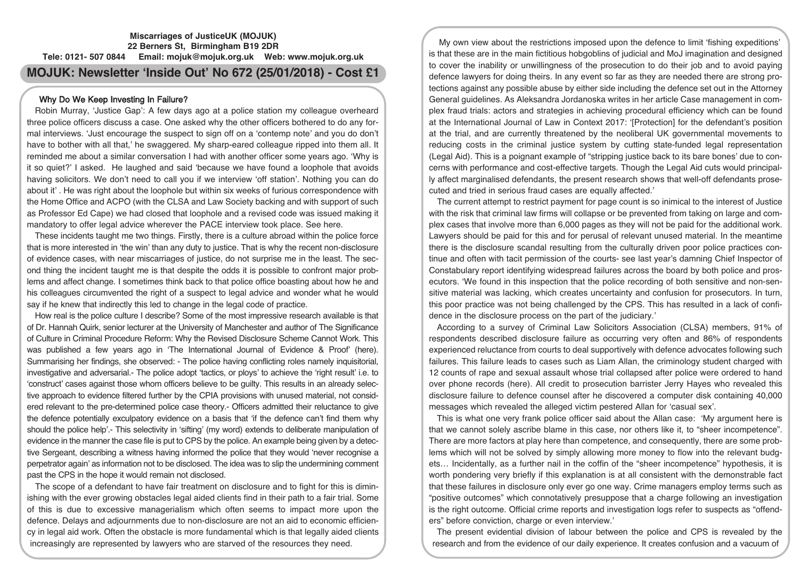# **MOJUK: Newsletter 'Inside Out' No 672 (25/01/2018) - Cost £1**

# Why Do We Keep Investing In Failure?

Robin Murray, 'Justice Gap': A few days ago at a police station my colleague overheard three police officers discuss a case. One asked why the other officers bothered to do any formal interviews. 'Just encourage the suspect to sign off on a 'contemp note' and you do don't have to bother with all that,' he swaggered. My sharp-eared colleague ripped into them all. It reminded me about a similar conversation I had with another officer some years ago. 'Why is it so quiet?' I asked. He laughed and said 'because we have found a loophole that avoids having solicitors. We don't need to call you if we interview 'off station'. Nothing you can do about it' . He was right about the loophole but within six weeks of furious correspondence with the Home Office and ACPO (with the CLSA and Law Society backing and with support of such as Professor Ed Cape) we had closed that loophole and a revised code was issued making it mandatory to offer legal advice wherever the PACE interview took place. See here.

These incidents taught me two things. Firstly, there is a culture abroad within the police force that is more interested in 'the win' than any duty to justice. That is why the recent non-disclosure of evidence cases, with near miscarriages of justice, do not surprise me in the least. The second thing the incident taught me is that despite the odds it is possible to confront major problems and affect change. I sometimes think back to that police office boasting about how he and his colleagues circumvented the right of a suspect to legal advice and wonder what he would say if he knew that indirectly this led to change in the legal code of practice.

How real is the police culture I describe? Some of the most impressive research available is that of Dr. Hannah Quirk, senior lecturer at the University of Manchester and author of The Significance of Culture in Criminal Procedure Reform: Why the Revised Disclosure Scheme Cannot Work. This was published a few years ago in 'The International Journal of Evidence & Proof' (here). Summarising her findings, she observed: - The police having conflicting roles namely inquisitorial, investigative and adversarial.- The police adopt 'tactics, or ploys' to achieve the 'right result' i.e. to 'construct' cases against those whom officers believe to be guilty. This results in an already selective approach to evidence filtered further by the CPIA provisions with unused material, not considered relevant to the pre-determined police case theory.- Officers admitted their reluctance to give the defence potentially exculpatory evidence on a basis that 'if the defence can't find them why should the police help'.- This selectivity in 'sifting' (my word) extends to deliberate manipulation of evidence in the manner the case file is put to CPS by the police. An example being given by a detective Sergeant, describing a witness having informed the police that they would 'never recognise a perpetrator again' as information not to be disclosed. The idea was to slip the undermining comment past the CPS in the hope it would remain not disclosed.

The scope of a defendant to have fair treatment on disclosure and to fight for this is diminishing with the ever growing obstacles legal aided clients find in their path to a fair trial. Some of this is due to excessive managerialism which often seems to impact more upon the defence. Delays and adjournments due to non-disclosure are not an aid to economic efficiency in legal aid work. Often the obstacle is more fundamental which is that legally aided clients increasingly are represented by lawyers who are starved of the resources they need.

My own view about the restrictions imposed upon the defence to limit 'fishing expeditions' is that these are in the main fictitious hobgoblins of judicial and MoJ imagination and designed to cover the inability or unwillingness of the prosecution to do their job and to avoid paying defence lawyers for doing theirs. In any event so far as they are needed there are strong protections against any possible abuse by either side including the defence set out in the Attorney General guidelines. As Aleksandra Jordanoska writes in her article Case management in complex fraud trials: actors and strategies in achieving procedural efficiency which can be found at the International Journal of Law in Context 2017: '[Protection] for the defendant's position at the trial, and are currently threatened by the neoliberal UK governmental movements to reducing costs in the criminal justice system by cutting state-funded legal representation (Legal Aid). This is a poignant example of "stripping justice back to its bare bones' due to concerns with performance and cost-effective targets. Though the Legal Aid cuts would principally affect marginalised defendants, the present research shows that well-off defendants prosecuted and tried in serious fraud cases are equally affected.'

The current attempt to restrict payment for page count is so inimical to the interest of Justice with the risk that criminal law firms will collapse or be prevented from taking on large and complex cases that involve more than 6,000 pages as they will not be paid for the additional work. Lawyers should be paid for this and for perusal of relevant unused material. In the meantime there is the disclosure scandal resulting from the culturally driven poor police practices continue and often with tacit permission of the courts- see last year's damning Chief Inspector of Constabulary report identifying widespread failures across the board by both police and prosecutors. 'We found in this inspection that the police recording of both sensitive and non-sensitive material was lacking, which creates uncertainty and confusion for prosecutors. In turn, this poor practice was not being challenged by the CPS. This has resulted in a lack of confidence in the disclosure process on the part of the judiciary.'

According to a survey of Criminal Law Solicitors Association (CLSA) members, 91% of respondents described disclosure failure as occurring very often and 86% of respondents experienced reluctance from courts to deal supportively with defence advocates following such failures. This failure leads to cases such as Liam Allan, the criminology student charged with 12 counts of rape and sexual assault whose trial collapsed after police were ordered to hand over phone records (here). All credit to prosecution barrister Jerry Hayes who revealed this disclosure failure to defence counsel after he discovered a computer disk containing 40,000 messages which revealed the alleged victim pestered Allan for 'casual sex'.

This is what one very frank police officer said about the Allan case: 'My argument here is that we cannot solely ascribe blame in this case, nor others like it, to "sheer incompetence". There are more factors at play here than competence, and consequently, there are some problems which will not be solved by simply allowing more money to flow into the relevant budgets… Incidentally, as a further nail in the coffin of the "sheer incompetence" hypothesis, it is worth pondering very briefly if this explanation is at all consistent with the demonstrable fact that these failures in disclosure only ever go one way. Crime managers employ terms such as "positive outcomes" which connotatively presuppose that a charge following an investigation is the right outcome. Official crime reports and investigation logs refer to suspects as "offenders" before conviction, charge or even interview.'

The present evidential division of labour between the police and CPS is revealed by the research and from the evidence of our daily experience. It creates confusion and a vacuum of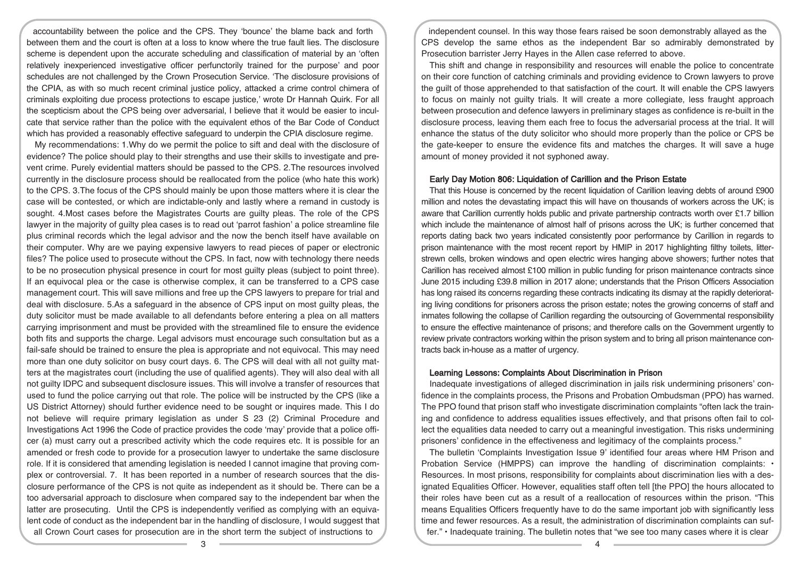accountability between the police and the CPS. They 'bounce' the blame back and forth between them and the court is often at a loss to know where the true fault lies. The disclosure scheme is dependent upon the accurate scheduling and classification of material by an 'often relatively inexperienced investigative officer perfunctorily trained for the purpose' and poor schedules are not challenged by the Crown Prosecution Service. 'The disclosure provisions of the CPIA, as with so much recent criminal justice policy, attacked a crime control chimera of criminals exploiting due process protections to escape justice,' wrote Dr Hannah Quirk. For all the scepticism about the CPS being over adversarial, I believe that it would be easier to inculcate that service rather than the police with the equivalent ethos of the Bar Code of Conduct which has provided a reasonably effective safeguard to underpin the CPIA disclosure regime.

My recommendations: 1.Why do we permit the police to sift and deal with the disclosure of evidence? The police should play to their strengths and use their skills to investigate and prevent crime. Purely evidential matters should be passed to the CPS. 2.The resources involved currently in the disclosure process should be reallocated from the police (who hate this work) to the CPS. 3.The focus of the CPS should mainly be upon those matters where it is clear the case will be contested, or which are indictable-only and lastly where a remand in custody is sought. 4.Most cases before the Magistrates Courts are guilty pleas. The role of the CPS lawyer in the majority of guilty plea cases is to read out 'parrot fashion' a police streamline file plus criminal records which the legal advisor and the now the bench itself have available on their computer. Why are we paying expensive lawyers to read pieces of paper or electronic files? The police used to prosecute without the CPS. In fact, now with technology there needs to be no prosecution physical presence in court for most guilty pleas (subject to point three). If an equivocal plea or the case is otherwise complex, it can be transferred to a CPS case management court. This will save millions and free up the CPS lawyers to prepare for trial and deal with disclosure. 5.As a safeguard in the absence of CPS input on most guilty pleas, the duty solicitor must be made available to all defendants before entering a plea on all matters carrying imprisonment and must be provided with the streamlined file to ensure the evidence both fits and supports the charge. Legal advisors must encourage such consultation but as a fail-safe should be trained to ensure the plea is appropriate and not equivocal. This may need more than one duty solicitor on busy court days. 6. The CPS will deal with all not guilty matters at the magistrates court (including the use of qualified agents). They will also deal with all not guilty IDPC and subsequent disclosure issues. This will involve a transfer of resources that used to fund the police carrying out that role. The police will be instructed by the CPS (like a US District Attorney) should further evidence need to be sought or inquires made. This I do not believe will require primary legislation as under S 23 (2) Criminal Procedure and Investigations Act 1996 the Code of practice provides the code 'may' provide that a police officer (a) must carry out a prescribed activity which the code requires etc. It is possible for an amended or fresh code to provide for a prosecution lawyer to undertake the same disclosure role. If it is considered that amending legislation is needed I cannot imagine that proving complex or controversial. 7. It has been reported in a number of research sources that the disclosure performance of the CPS is not quite as independent as it should be. There can be a too adversarial approach to disclosure when compared say to the independent bar when the latter are prosecuting. Until the CPS is independently verified as complying with an equivalent code of conduct as the independent bar in the handling of disclosure, I would suggest that all Crown Court cases for prosecution are in the short term the subject of instructions to

independent counsel. In this way those fears raised be soon demonstrably allayed as the CPS develop the same ethos as the independent Bar so admirably demonstrated by Prosecution barrister Jerry Hayes in the Allen case referred to above.

This shift and change in responsibility and resources will enable the police to concentrate on their core function of catching criminals and providing evidence to Crown lawyers to prove the guilt of those apprehended to that satisfaction of the court. It will enable the CPS lawyers to focus on mainly not guilty trials. It will create a more collegiate, less fraught approach between prosecution and defence lawyers in preliminary stages as confidence is re-built in the disclosure process, leaving them each free to focus the adversarial process at the trial. It will enhance the status of the duty solicitor who should more properly than the police or CPS be the gate-keeper to ensure the evidence fits and matches the charges. It will save a huge amount of money provided it not syphoned away.

#### Early Day Motion 806: Liquidation of Carillion and the Prison Estate

That this House is concerned by the recent liquidation of Carillion leaving debts of around £900 million and notes the devastating impact this will have on thousands of workers across the UK; is aware that Carillion currently holds public and private partnership contracts worth over £1.7 billion which include the maintenance of almost half of prisons across the UK; is further concerned that reports dating back two years indicated consistently poor performance by Carillion in regards to prison maintenance with the most recent report by HMIP in 2017 highlighting filthy toilets, litterstrewn cells, broken windows and open electric wires hanging above showers; further notes that Carillion has received almost £100 million in public funding for prison maintenance contracts since June 2015 including £39.8 million in 2017 alone; understands that the Prison Officers Association has long raised its concerns regarding these contracts indicating its dismay at the rapidly deteriorating living conditions for prisoners across the prison estate; notes the growing concerns of staff and inmates following the collapse of Carillion regarding the outsourcing of Governmental responsibility to ensure the effective maintenance of prisons; and therefore calls on the Government urgently to review private contractors working within the prison system and to bring all prison maintenance contracts back in-house as a matter of urgency.

#### Learning Lessons: Complaints About Discrimination in Prison

Inadequate investigations of alleged discrimination in jails risk undermining prisoners' confidence in the complaints process, the Prisons and Probation Ombudsman (PPO) has warned. The PPO found that prison staff who investigate discrimination complaints "often lack the training and confidence to address equalities issues effectively, and that prisons often fail to collect the equalities data needed to carry out a meaningful investigation. This risks undermining prisoners' confidence in the effectiveness and legitimacy of the complaints process."

The bulletin 'Complaints Investigation Issue 9' identified four areas where HM Prison and Probation Service (HMPPS) can improve the handling of discrimination complaints:  $\cdot$ Resources. In most prisons, responsibility for complaints about discrimination lies with a designated Equalities Officer. However, equalities staff often tell [the PPO] the hours allocated to their roles have been cut as a result of a reallocation of resources within the prison. "This means Equalities Officers frequently have to do the same important job with significantly less time and fewer resources. As a result, the administration of discrimination complaints can suffer." • Inadequate training. The bulletin notes that "we see too many cases where it is clear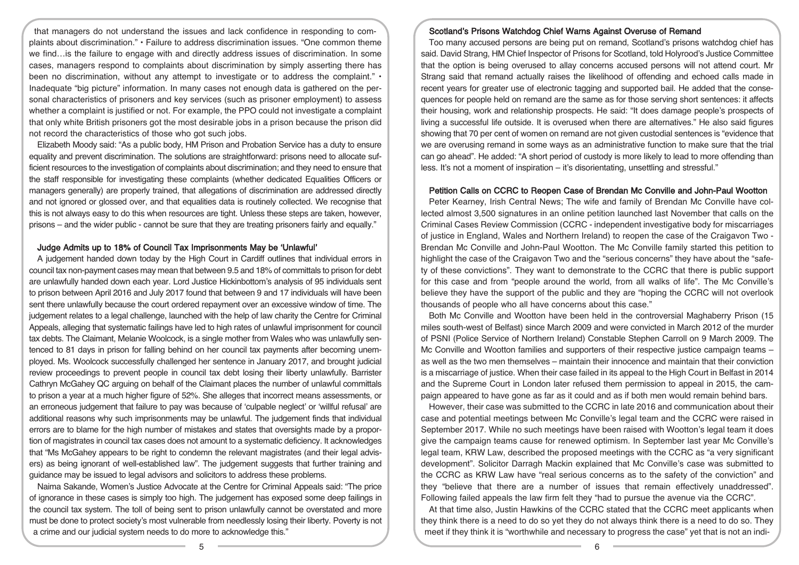that managers do not understand the issues and lack confidence in responding to complaints about discrimination." • Failure to address discrimination issues. "One common theme we find…is the failure to engage with and directly address issues of discrimination. In some cases, managers respond to complaints about discrimination by simply asserting there has been no discrimination, without any attempt to investigate or to address the complaint." • Inadequate "big picture" information. In many cases not enough data is gathered on the personal characteristics of prisoners and key services (such as prisoner employment) to assess whether a complaint is justified or not. For example, the PPO could not investigate a complaint that only white British prisoners got the most desirable jobs in a prison because the prison did not record the characteristics of those who got such jobs.

Elizabeth Moody said: "As a public body, HM Prison and Probation Service has a duty to ensure equality and prevent discrimination. The solutions are straightforward: prisons need to allocate sufficient resources to the investigation of complaints about discrimination; and they need to ensure that the staff responsible for investigating these complaints (whether dedicated Equalities Officers or managers generally) are properly trained, that allegations of discrimination are addressed directly and not ignored or glossed over, and that equalities data is routinely collected. We recognise that this is not always easy to do this when resources are tight. Unless these steps are taken, however, prisons – and the wider public - cannot be sure that they are treating prisoners fairly and equally."

### Judge Admits up to 18% of Council Tax Imprisonments May be 'Unlawful'

A judgement handed down today by the High Court in Cardiff outlines that individual errors in council tax non-payment cases may mean that between 9.5 and 18% of committals to prison for debt are unlawfully handed down each year. Lord Justice Hickinbottom's analysis of 95 individuals sent to prison between April 2016 and July 2017 found that between 9 and 17 individuals will have been sent there unlawfully because the court ordered repayment over an excessive window of time. The judgement relates to a legal challenge, launched with the help of law charity the Centre for Criminal Appeals, alleging that systematic failings have led to high rates of unlawful imprisonment for council tax debts. The Claimant, Melanie Woolcock, is a single mother from Wales who was unlawfully sentenced to 81 days in prison for falling behind on her council tax payments after becoming unemployed. Ms. Woolcock successfully challenged her sentence in January 2017, and brought judicial review proceedings to prevent people in council tax debt losing their liberty unlawfully. Barrister Cathryn McGahey QC arguing on behalf of the Claimant places the number of unlawful committals to prison a year at a much higher figure of 52%. She alleges that incorrect means assessments, or an erroneous judgement that failure to pay was because of 'culpable neglect' or 'willful refusal' are additional reasons why such imprisonments may be unlawful. The judgement finds that individual errors are to blame for the high number of mistakes and states that oversights made by a proportion of magistrates in council tax cases does not amount to a systematic deficiency. It acknowledges that "Ms McGahey appears to be right to condemn the relevant magistrates (and their legal advisers) as being ignorant of well-established law". The judgement suggests that further training and guidance may be issued to legal advisors and solicitors to address these problems.

Naima Sakande, Women's Justice Advocate at the Centre for Criminal Appeals said: "The price of ignorance in these cases is simply too high. The judgement has exposed some deep failings in the council tax system. The toll of being sent to prison unlawfully cannot be overstated and more must be done to protect society's most vulnerable from needlessly losing their liberty. Poverty is not a crime and our judicial system needs to do more to acknowledge this."

#### Scotland's Prisons Watchdog Chief Warns Against Overuse of Remand

Too many accused persons are being put on remand, Scotland's prisons watchdog chief has said. David Strang, HM Chief Inspector of Prisons for Scotland, told Holyrood's Justice Committee that the option is being overused to allay concerns accused persons will not attend court. Mr Strang said that remand actually raises the likelihood of offending and echoed calls made in recent years for greater use of electronic tagging and supported bail. He added that the consequences for people held on remand are the same as for those serving short sentences: it affects their housing, work and relationship prospects. He said: "It does damage people's prospects of living a successful life outside. It is overused when there are alternatives." He also said figures showing that 70 per cent of women on remand are not given custodial sentences is "evidence that we are overusing remand in some ways as an administrative function to make sure that the trial can go ahead". He added: "A short period of custody is more likely to lead to more offending than less. It's not a moment of inspiration – it's disorientating, unsettling and stressful."

#### Petition Calls on CCRC to Reopen Case of Brendan Mc Conville and John-Paul Wootton

Peter Kearney, Irish Central News; The wife and family of Brendan Mc Conville have collected almost 3,500 signatures in an online petition launched last November that calls on the Criminal Cases Review Commission (CCRC - independent investigative body for miscarriages of justice in England, Wales and Northern Ireland) to reopen the case of the Craigavon Two - Brendan Mc Conville and John-Paul Wootton. The Mc Conville family started this petition to highlight the case of the Craigavon Two and the "serious concerns" they have about the "safety of these convictions". They want to demonstrate to the CCRC that there is public support for this case and from "people around the world, from all walks of life". The Mc Conville's believe they have the support of the public and they are "hoping the CCRC will not overlook thousands of people who all have concerns about this case."

Both Mc Conville and Wootton have been held in the controversial Maghaberry Prison (15 miles south-west of Belfast) since March 2009 and were convicted in March 2012 of the murder of PSNI (Police Service of Northern Ireland) Constable Stephen Carroll on 9 March 2009. The Mc Conville and Wootton families and supporters of their respective justice campaign teams – as well as the two men themselves – maintain their innocence and maintain that their conviction is a miscarriage of justice. When their case failed in its appeal to the High Court in Belfast in 2014 and the Supreme Court in London later refused them permission to appeal in 2015, the campaign appeared to have gone as far as it could and as if both men would remain behind bars.

However, their case was submitted to the CCRC in late 2016 and communication about their case and potential meetings between Mc Conville's legal team and the CCRC were raised in September 2017. While no such meetings have been raised with Wootton's legal team it does give the campaign teams cause for renewed optimism. In September last year Mc Conville's legal team, KRW Law, described the proposed meetings with the CCRC as "a very significant development". Solicitor Darragh Mackin explained that Mc Conville's case was submitted to the CCRC as KRW Law have "real serious concerns as to the safety of the conviction" and they "believe that there are a number of issues that remain effectively unaddressed". Following failed appeals the law firm felt they "had to pursue the avenue via the CCRC".

At that time also, Justin Hawkins of the CCRC stated that the CCRC meet applicants when they think there is a need to do so yet they do not always think there is a need to do so. They meet if they think it is "worthwhile and necessary to progress the case" yet that is not an indi-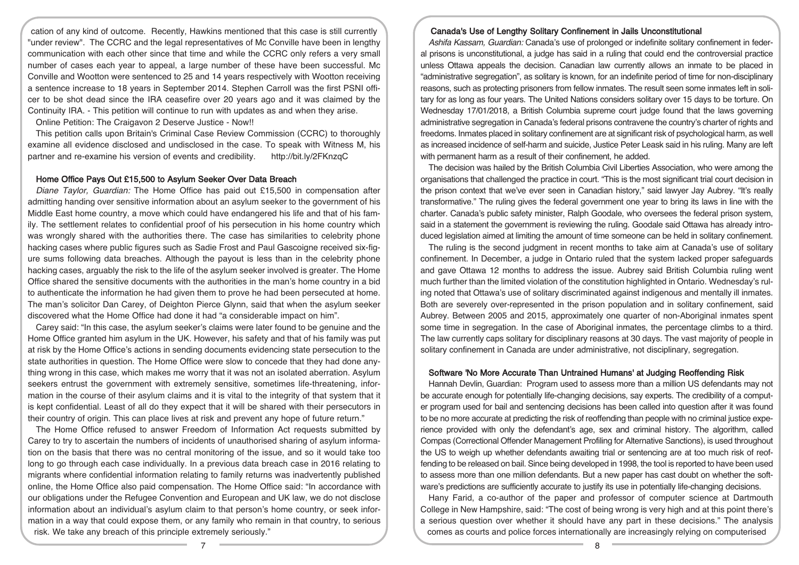cation of any kind of outcome. Recently, Hawkins mentioned that this case is still currently "under review". The CCRC and the legal representatives of Mc Conville have been in lengthy communication with each other since that time and while the CCRC only refers a very small number of cases each year to appeal, a large number of these have been successful. Mc Conville and Wootton were sentenced to 25 and 14 years respectively with Wootton receiving a sentence increase to 18 years in September 2014. Stephen Carroll was the first PSNI officer to be shot dead since the IRA ceasefire over 20 years ago and it was claimed by the Continuity IRA. - This petition will continue to run with updates as and when they arise.

Online Petition: The Craigavon 2 Deserve Justice - Now!!

This petition calls upon Britain's Criminal Case Review Commission (CCRC) to thoroughly examine all evidence disclosed and undisclosed in the case. To speak with Witness M, his partner and re-examine his version of events and credibility. http://bit.ly/2FKnzqC

## Home Office Pays Out £15,500 to Asylum Seeker Over Data Breach

Diane Taylor, Guardian: The Home Office has paid out £15,500 in compensation after admitting handing over sensitive information about an asylum seeker to the government of his Middle East home country, a move which could have endangered his life and that of his family. The settlement relates to confidential proof of his persecution in his home country which was wrongly shared with the authorities there. The case has similarities to celebrity phone hacking cases where public figures such as Sadie Frost and Paul Gascoigne received six-figure sums following data breaches. Although the payout is less than in the celebrity phone hacking cases, arguably the risk to the life of the asylum seeker involved is greater. The Home Office shared the sensitive documents with the authorities in the man's home country in a bid to authenticate the information he had given them to prove he had been persecuted at home. The man's solicitor Dan Carey, of Deighton Pierce Glynn, said that when the asylum seeker discovered what the Home Office had done it had "a considerable impact on him".

Carey said: "In this case, the asylum seeker's claims were later found to be genuine and the Home Office granted him asylum in the UK. However, his safety and that of his family was put at risk by the Home Office's actions in sending documents evidencing state persecution to the state authorities in question. The Home Office were slow to concede that they had done anything wrong in this case, which makes me worry that it was not an isolated aberration. Asylum seekers entrust the government with extremely sensitive, sometimes life-threatening, information in the course of their asylum claims and it is vital to the integrity of that system that it is kept confidential. Least of all do they expect that it will be shared with their persecutors in their country of origin. This can place lives at risk and prevent any hope of future return."

The Home Office refused to answer Freedom of Information Act requests submitted by Carey to try to ascertain the numbers of incidents of unauthorised sharing of asylum information on the basis that there was no central monitoring of the issue, and so it would take too long to go through each case individually. In a previous data breach case in 2016 relating to migrants where confidential information relating to family returns was inadvertently published online, the Home Office also paid compensation. The Home Office said: "In accordance with our obligations under the Refugee Convention and European and UK law, we do not disclose information about an individual's asylum claim to that person's home country, or seek information in a way that could expose them, or any family who remain in that country, to serious risk. We take any breach of this principle extremely seriously."

## Canada's Use of Lengthy Solitary Confinement in Jails Unconstitutional

Ashifa Kassam, Guardian: Canada's use of prolonged or indefinite solitary confinement in federal prisons is unconstitutional, a judge has said in a ruling that could end the controversial practice unless Ottawa appeals the decision. Canadian law currently allows an inmate to be placed in "administrative segregation", as solitary is known, for an indefinite period of time for non-disciplinary reasons, such as protecting prisoners from fellow inmates. The result seen some inmates left in solitary for as long as four years. The United Nations considers solitary over 15 days to be torture. On Wednesday 17/01/2018, a British Columbia supreme court judge found that the laws governing administrative segregation in Canada's federal prisons contravene the country's charter of rights and freedoms. Inmates placed in solitary confinement are at significant risk of psychological harm, as well as increased incidence of self-harm and suicide, Justice Peter Leask said in his ruling. Many are left with permanent harm as a result of their confinement, he added.

The decision was hailed by the British Columbia Civil Liberties Association, who were among the organisations that challenged the practice in court. "This is the most significant trial court decision in the prison context that we've ever seen in Canadian history," said lawyer Jay Aubrey. "It's really transformative." The ruling gives the federal government one year to bring its laws in line with the charter. Canada's public safety minister, Ralph Goodale, who oversees the federal prison system, said in a statement the government is reviewing the ruling. Goodale said Ottawa has already introduced legislation aimed at limiting the amount of time someone can be held in solitary confinement.

The ruling is the second judgment in recent months to take aim at Canada's use of solitary confinement. In December, a judge in Ontario ruled that the system lacked proper safeguards and gave Ottawa 12 months to address the issue. Aubrey said British Columbia ruling went much further than the limited violation of the constitution highlighted in Ontario. Wednesday's ruling noted that Ottawa's use of solitary discriminated against indigenous and mentally ill inmates. Both are severely over-represented in the prison population and in solitary confinement, said Aubrey. Between 2005 and 2015, approximately one quarter of non-Aboriginal inmates spent some time in segregation. In the case of Aboriginal inmates, the percentage climbs to a third. The law currently caps solitary for disciplinary reasons at 30 days. The vast majority of people in solitary confinement in Canada are under administrative, not disciplinary, segregation.

# Software 'No More Accurate Than Untrained Humans' at Judging Reoffending Risk

Hannah Devlin, Guardian: Program used to assess more than a million US defendants may not be accurate enough for potentially life-changing decisions, say experts. The credibility of a computer program used for bail and sentencing decisions has been called into question after it was found to be no more accurate at predicting the risk of reoffending than people with no criminal justice experience provided with only the defendant's age, sex and criminal history. The algorithm, called Compas (Correctional Offender Management Profiling for Alternative Sanctions), is used throughout the US to weigh up whether defendants awaiting trial or sentencing are at too much risk of reoffending to be released on bail. Since being developed in 1998, the tool is reported to have been used to assess more than one million defendants. But a new paper has cast doubt on whether the software's predictions are sufficiently accurate to justify its use in potentially life-changing decisions.

Hany Farid, a co-author of the paper and professor of computer science at Dartmouth College in New Hampshire, said: "The cost of being wrong is very high and at this point there's a serious question over whether it should have any part in these decisions." The analysis comes as courts and police forces internationally are increasingly relying on computerised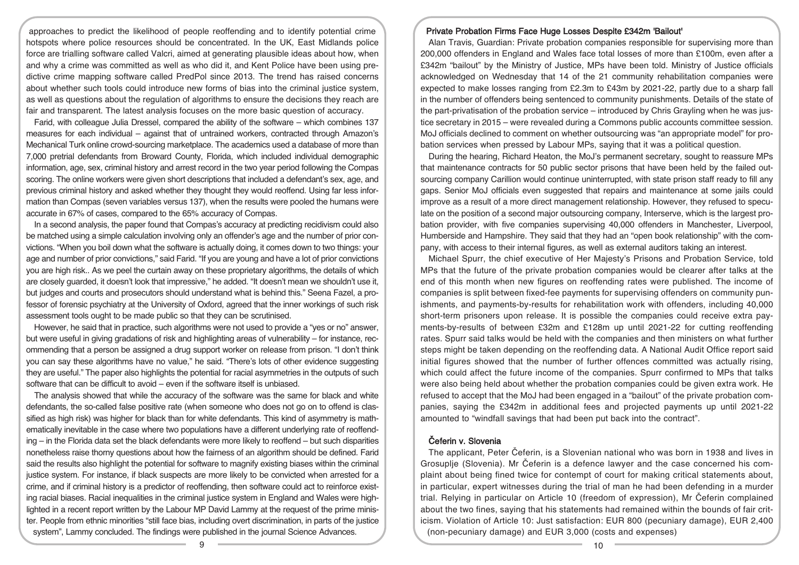approaches to predict the likelihood of people reoffending and to identify potential crime hotspots where police resources should be concentrated. In the UK, East Midlands police force are trialling software called Valcri, aimed at generating plausible ideas about how, when and why a crime was committed as well as who did it, and Kent Police have been using predictive crime mapping software called PredPol since 2013. The trend has raised concerns about whether such tools could introduce new forms of bias into the criminal justice system, as well as questions about the regulation of algorithms to ensure the decisions they reach are fair and transparent. The latest analysis focuses on the more basic question of accuracy.

Farid, with colleague Julia Dressel, compared the ability of the software – which combines 137 measures for each individual – against that of untrained workers, contracted through Amazon's Mechanical Turk online crowd-sourcing marketplace. The academics used a database of more than 7,000 pretrial defendants from Broward County, Florida, which included individual demographic information, age, sex, criminal history and arrest record in the two year period following the Compas scoring. The online workers were given short descriptions that included a defendant's sex, age, and previous criminal history and asked whether they thought they would reoffend. Using far less information than Compas (seven variables versus 137), when the results were pooled the humans were accurate in 67% of cases, compared to the 65% accuracy of Compas.

In a second analysis, the paper found that Compas's accuracy at predicting recidivism could also be matched using a simple calculation involving only an offender's age and the number of prior convictions. "When you boil down what the software is actually doing, it comes down to two things: your age and number of prior convictions," said Farid. "If you are young and have a lot of prior convictions you are high risk.. As we peel the curtain away on these proprietary algorithms, the details of which are closely guarded, it doesn't look that impressive," he added. "It doesn't mean we shouldn't use it, but judges and courts and prosecutors should understand what is behind this." Seena Fazel, a professor of forensic psychiatry at the University of Oxford, agreed that the inner workings of such risk assessment tools ought to be made public so that they can be scrutinised.

However, he said that in practice, such algorithms were not used to provide a "yes or no" answer, but were useful in giving gradations of risk and highlighting areas of vulnerability – for instance, recommending that a person be assigned a drug support worker on release from prison. "I don't think you can say these algorithms have no value," he said. "There's lots of other evidence suggesting they are useful." The paper also highlights the potential for racial asymmetries in the outputs of such software that can be difficult to avoid – even if the software itself is unbiased.

The analysis showed that while the accuracy of the software was the same for black and white defendants, the so-called false positive rate (when someone who does not go on to offend is classified as high risk) was higher for black than for white defendants. This kind of asymmetry is mathematically inevitable in the case where two populations have a different underlying rate of reoffending – in the Florida data set the black defendants were more likely to reoffend – but such disparities nonetheless raise thorny questions about how the fairness of an algorithm should be defined. Farid said the results also highlight the potential for software to magnify existing biases within the criminal justice system. For instance, if black suspects are more likely to be convicted when arrested for a crime, and if criminal history is a predictor of reoffending, then software could act to reinforce existing racial biases. Racial inequalities in the criminal justice system in England and Wales were highlighted in a recent report written by the Labour MP David Lammy at the request of the prime minister. People from ethnic minorities "still face bias, including overt discrimination, in parts of the justice system", Lammy concluded. The findings were published in the journal Science Advances.

## Private Probation Firms Face Huge Losses Despite £342m 'Bailout'

Alan Travis, Guardian: Private probation companies responsible for supervising more than 200,000 offenders in England and Wales face total losses of more than £100m, even after a £342m "bailout" by the Ministry of Justice, MPs have been told. Ministry of Justice officials acknowledged on Wednesday that 14 of the 21 community rehabilitation companies were expected to make losses ranging from £2.3m to £43m by 2021-22, partly due to a sharp fall in the number of offenders being sentenced to community punishments. Details of the state of the part-privatisation of the probation service – introduced by Chris Grayling when he was justice secretary in 2015 – were revealed during a Commons public accounts committee session. MoJ officials declined to comment on whether outsourcing was "an appropriate model" for probation services when pressed by Labour MPs, saying that it was a political question.

During the hearing, Richard Heaton, the MoJ's permanent secretary, sought to reassure MPs that maintenance contracts for 50 public sector prisons that have been held by the failed outsourcing company Carillion would continue uninterrupted, with state prison staff ready to fill any gaps. Senior MoJ officials even suggested that repairs and maintenance at some jails could improve as a result of a more direct management relationship. However, they refused to speculate on the position of a second major outsourcing company, Interserve, which is the largest probation provider, with five companies supervising 40,000 offenders in Manchester, Liverpool, Humberside and Hampshire. They said that they had an "open book relationship" with the company, with access to their internal figures, as well as external auditors taking an interest.

Michael Spurr, the chief executive of Her Majesty's Prisons and Probation Service, told MPs that the future of the private probation companies would be clearer after talks at the end of this month when new figures on reoffending rates were published. The income of companies is split between fixed-fee payments for supervising offenders on community punishments, and payments-by-results for rehabilitation work with offenders, including 40,000 short-term prisoners upon release. It is possible the companies could receive extra payments-by-results of between £32m and £128m up until 2021-22 for cutting reoffending rates. Spurr said talks would be held with the companies and then ministers on what further steps might be taken depending on the reoffending data. A National Audit Office report said initial figures showed that the number of further offences committed was actually rising, which could affect the future income of the companies. Spurr confirmed to MPs that talks were also being held about whether the probation companies could be given extra work. He refused to accept that the MoJ had been engaged in a "bailout" of the private probation companies, saying the £342m in additional fees and projected payments up until 2021-22 amounted to "windfall savings that had been put back into the contract".

# Čeferin v. Slovenia

The applicant, Peter Čeferin, is a Slovenian national who was born in 1938 and lives in Grosuplje (Slovenia). Mr Čeferin is a defence lawyer and the case concerned his complaint about being fined twice for contempt of court for making critical statements about, in particular, expert witnesses during the trial of man he had been defending in a murder trial. Relying in particular on Article 10 (freedom of expression), Mr Čeferin complained about the two fines, saying that his statements had remained within the bounds of fair criticism. Violation of Article 10: Just satisfaction: EUR 800 (pecuniary damage), EUR 2,400 (non-pecuniary damage) and EUR 3,000 (costs and expenses)